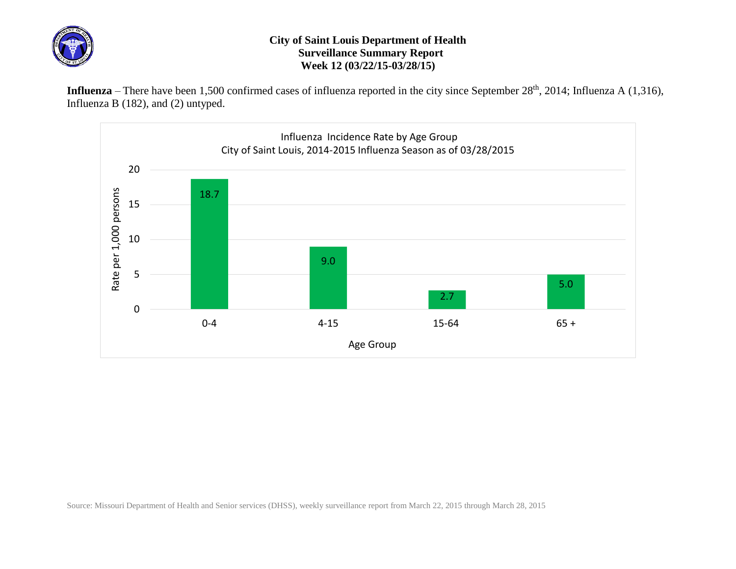

## **City of Saint Louis Department of Health Surveillance Summary Report Week 12 (03/22/15-03/28/15)**

Influenza – There have been 1,500 confirmed cases of influenza reported in the city since September 28<sup>th</sup>, 2014; Influenza A (1,316), Influenza B (182), and (2) untyped.